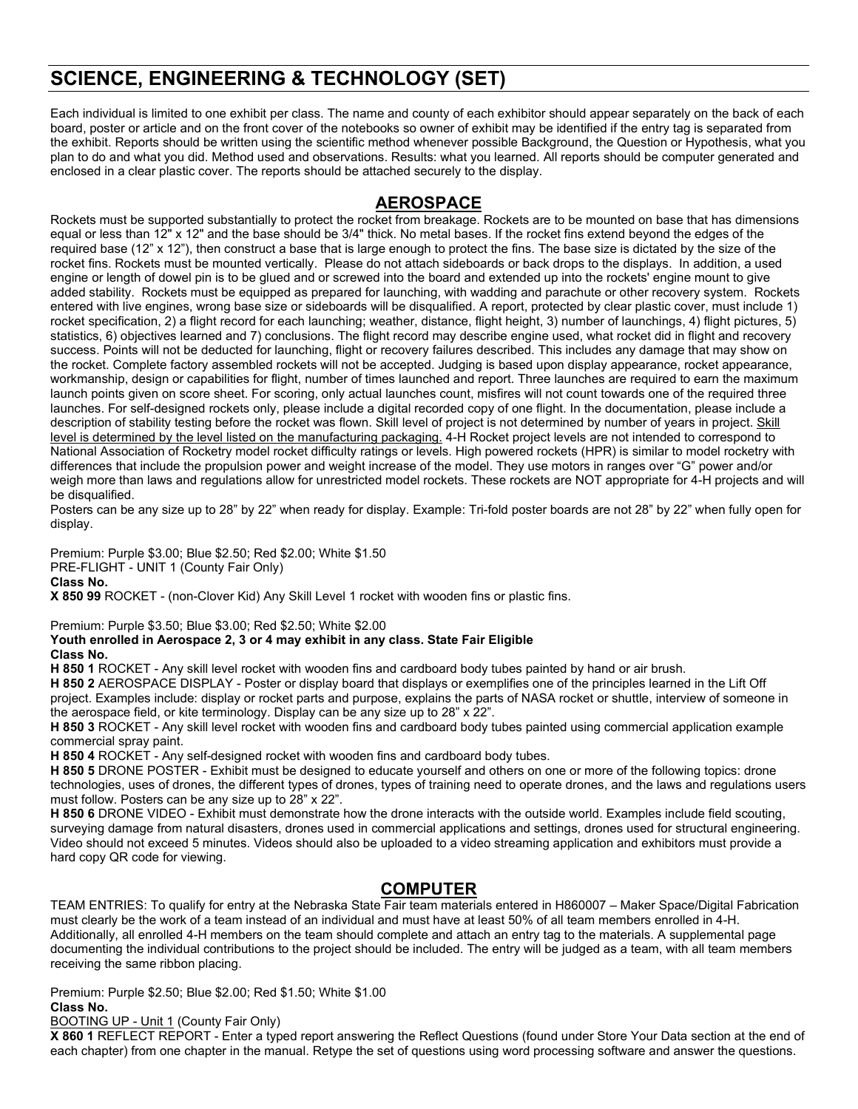# **SCIENCE, ENGINEERING & TECHNOLOGY (SET)**

Each individual is limited to one exhibit per class. The name and county of each exhibitor should appear separately on the back of each board, poster or article and on the front cover of the notebooks so owner of exhibit may be identified if the entry tag is separated from the exhibit. Reports should be written using the scientific method whenever possible Background, the Question or Hypothesis, what you plan to do and what you did. Method used and observations. Results: what you learned. All reports should be computer generated and enclosed in a clear plastic cover. The reports should be attached securely to the display.

## **AEROSPACE**

Rockets must be supported substantially to protect the rocket from breakage. Rockets are to be mounted on base that has dimensions equal or less than 12" x 12" and the base should be 3/4" thick. No metal bases. If the rocket fins extend beyond the edges of the required base (12" x 12"), then construct a base that is large enough to protect the fins. The base size is dictated by the size of the rocket fins. Rockets must be mounted vertically. Please do not attach sideboards or back drops to the displays. In addition, a used engine or length of dowel pin is to be glued and or screwed into the board and extended up into the rockets' engine mount to give added stability. Rockets must be equipped as prepared for launching, with wadding and parachute or other recovery system. Rockets entered with live engines, wrong base size or sideboards will be disqualified. A report, protected by clear plastic cover, must include 1) rocket specification, 2) a flight record for each launching; weather, distance, flight height, 3) number of launchings, 4) flight pictures, 5) statistics, 6) objectives learned and 7) conclusions. The flight record may describe engine used, what rocket did in flight and recovery success. Points will not be deducted for launching, flight or recovery failures described. This includes any damage that may show on the rocket. Complete factory assembled rockets will not be accepted. Judging is based upon display appearance, rocket appearance, workmanship, design or capabilities for flight, number of times launched and report. Three launches are required to earn the maximum launch points given on score sheet. For scoring, only actual launches count, misfires will not count towards one of the required three launches. For self-designed rockets only, please include a digital recorded copy of one flight. In the documentation, please include a description of stability testing before the rocket was flown. Skill level of project is not determined by number of years in project. Skill level is determined by the level listed on the manufacturing packaging. 4-H Rocket project levels are not intended to correspond to National Association of Rocketry model rocket difficulty ratings or levels. High powered rockets (HPR) is similar to model rocketry with differences that include the propulsion power and weight increase of the model. They use motors in ranges over "G" power and/or weigh more than laws and regulations allow for unrestricted model rockets. These rockets are NOT appropriate for 4-H projects and will be disqualified.

Posters can be any size up to 28" by 22" when ready for display. Example: Tri-fold poster boards are not 28" by 22" when fully open for display.

Premium: Purple \$3.00; Blue \$2.50; Red \$2.00; White \$1.50 PRE-FLIGHT - UNIT 1 (County Fair Only) **Class No. X 850 99** ROCKET - (non-Clover Kid) Any Skill Level 1 rocket with wooden fins or plastic fins.

Premium: Purple \$3.50; Blue \$3.00; Red \$2.50; White \$2.00

**Youth enrolled in Aerospace 2, 3 or 4 may exhibit in any class. State Fair Eligible**

### **Class No.**

**H 850 1** ROCKET - Any skill level rocket with wooden fins and cardboard body tubes painted by hand or air brush.

**H 850 2** AEROSPACE DISPLAY - Poster or display board that displays or exemplifies one of the principles learned in the Lift Off project. Examples include: display or rocket parts and purpose, explains the parts of NASA rocket or shuttle, interview of someone in the aerospace field, or kite terminology. Display can be any size up to 28" x 22".

**H 850 3** ROCKET - Any skill level rocket with wooden fins and cardboard body tubes painted using commercial application example commercial spray paint.

**H 850 4** ROCKET - Any self-designed rocket with wooden fins and cardboard body tubes.

**H 850 5** DRONE POSTER - Exhibit must be designed to educate yourself and others on one or more of the following topics: drone technologies, uses of drones, the different types of drones, types of training need to operate drones, and the laws and regulations users must follow. Posters can be any size up to 28" x 22".

**H 850 6** DRONE VIDEO - Exhibit must demonstrate how the drone interacts with the outside world. Examples include field scouting, surveying damage from natural disasters, drones used in commercial applications and settings, drones used for structural engineering. Video should not exceed 5 minutes. Videos should also be uploaded to a video streaming application and exhibitors must provide a hard copy QR code for viewing.

# **COMPUTER**

TEAM ENTRIES: To qualify for entry at the Nebraska State Fair team materials entered in H860007 – Maker Space/Digital Fabrication must clearly be the work of a team instead of an individual and must have at least 50% of all team members enrolled in 4-H. Additionally, all enrolled 4-H members on the team should complete and attach an entry tag to the materials. A supplemental page documenting the individual contributions to the project should be included. The entry will be judged as a team, with all team members receiving the same ribbon placing.

Premium: Purple \$2.50; Blue \$2.00; Red \$1.50; White \$1.00 **Class No.**

**BOOTING UP - Unit 1 (County Fair Only)** 

**X 860 1** REFLECT REPORT - Enter a typed report answering the Reflect Questions (found under Store Your Data section at the end of each chapter) from one chapter in the manual. Retype the set of questions using word processing software and answer the questions.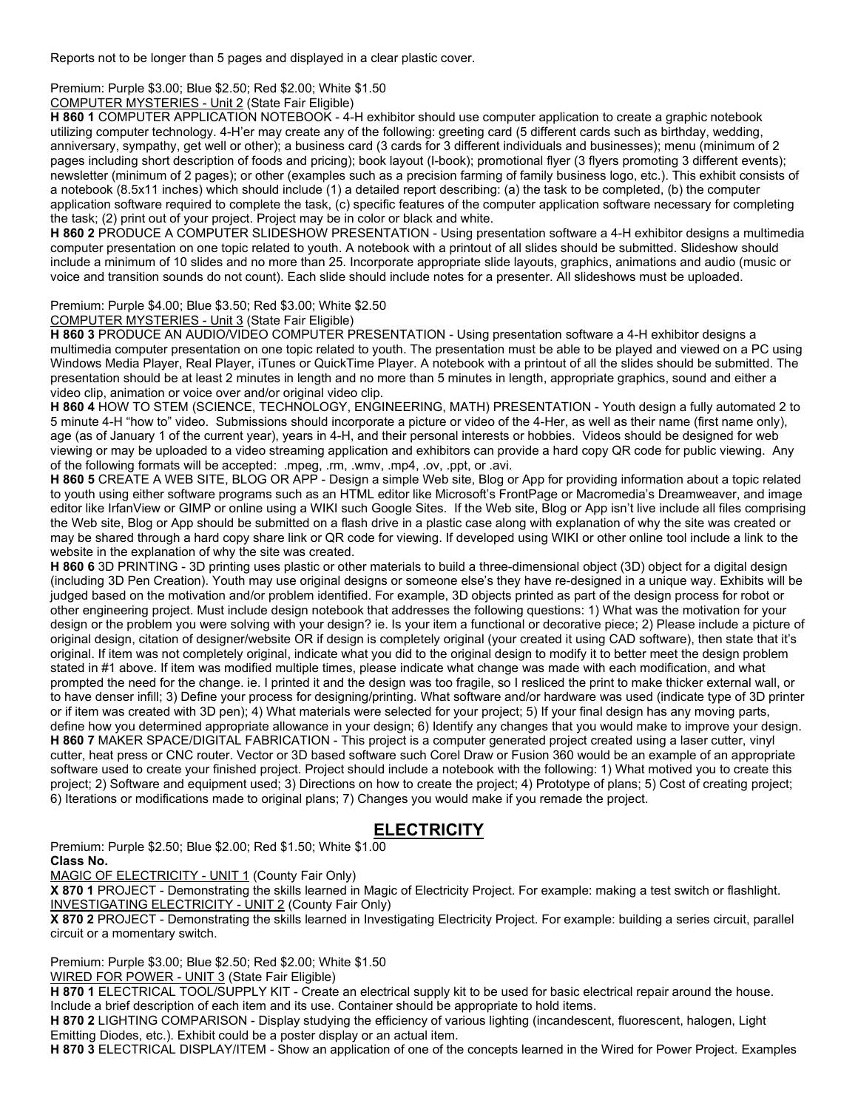Reports not to be longer than 5 pages and displayed in a clear plastic cover.

Premium: Purple \$3.00; Blue \$2.50; Red \$2.00; White \$1.50

COMPUTER MYSTERIES - Unit 2 (State Fair Eligible)

**H 860 1** COMPUTER APPLICATION NOTEBOOK - 4-H exhibitor should use computer application to create a graphic notebook utilizing computer technology. 4-H'er may create any of the following: greeting card (5 different cards such as birthday, wedding, anniversary, sympathy, get well or other); a business card (3 cards for 3 different individuals and businesses); menu (minimum of 2 pages including short description of foods and pricing); book layout (I-book); promotional flyer (3 flyers promoting 3 different events); newsletter (minimum of 2 pages); or other (examples such as a precision farming of family business logo, etc.). This exhibit consists of a notebook (8.5x11 inches) which should include (1) a detailed report describing: (a) the task to be completed, (b) the computer application software required to complete the task, (c) specific features of the computer application software necessary for completing the task; (2) print out of your project. Project may be in color or black and white.

**H 860 2** PRODUCE A COMPUTER SLIDESHOW PRESENTATION - Using presentation software a 4-H exhibitor designs a multimedia computer presentation on one topic related to youth. A notebook with a printout of all slides should be submitted. Slideshow should include a minimum of 10 slides and no more than 25. Incorporate appropriate slide layouts, graphics, animations and audio (music or voice and transition sounds do not count). Each slide should include notes for a presenter. All slideshows must be uploaded.

Premium: Purple \$4.00; Blue \$3.50; Red \$3.00; White \$2.50

COMPUTER MYSTERIES - Unit 3 (State Fair Eligible)

**H 860 3** PRODUCE AN AUDIO/VIDEO COMPUTER PRESENTATION - Using presentation software a 4-H exhibitor designs a multimedia computer presentation on one topic related to youth. The presentation must be able to be played and viewed on a PC using Windows Media Player, Real Player, iTunes or QuickTime Player. A notebook with a printout of all the slides should be submitted. The presentation should be at least 2 minutes in length and no more than 5 minutes in length, appropriate graphics, sound and either a video clip, animation or voice over and/or original video clip.

**H 860 4** HOW TO STEM (SCIENCE, TECHNOLOGY, ENGINEERING, MATH) PRESENTATION - Youth design a fully automated 2 to 5 minute 4-H "how to" video. Submissions should incorporate a picture or video of the 4-Her, as well as their name (first name only), age (as of January 1 of the current year), years in 4-H, and their personal interests or hobbies. Videos should be designed for web viewing or may be uploaded to a video streaming application and exhibitors can provide a hard copy QR code for public viewing. Any of the following formats will be accepted: .mpeg, .rm, .wmv, .mp4, .ov, .ppt, or .avi.

**H 860 5** CREATE A WEB SITE, BLOG OR APP - Design a simple Web site, Blog or App for providing information about a topic related to youth using either software programs such as an HTML editor like Microsoft's FrontPage or Macromedia's Dreamweaver, and image editor like IrfanView or GIMP or online using a WIKI such Google Sites. If the Web site, Blog or App isn't live include all files comprising the Web site, Blog or App should be submitted on a flash drive in a plastic case along with explanation of why the site was created or may be shared through a hard copy share link or QR code for viewing. If developed using WIKI or other online tool include a link to the website in the explanation of why the site was created.

**H 860 6** 3D PRINTING - 3D printing uses plastic or other materials to build a three-dimensional object (3D) object for a digital design (including 3D Pen Creation). Youth may use original designs or someone else's they have re-designed in a unique way. Exhibits will be judged based on the motivation and/or problem identified. For example, 3D objects printed as part of the design process for robot or other engineering project. Must include design notebook that addresses the following questions: 1) What was the motivation for your design or the problem you were solving with your design? ie. Is your item a functional or decorative piece; 2) Please include a picture of original design, citation of designer/website OR if design is completely original (your created it using CAD software), then state that it's original. If item was not completely original, indicate what you did to the original design to modify it to better meet the design problem stated in #1 above. If item was modified multiple times, please indicate what change was made with each modification, and what prompted the need for the change. ie. I printed it and the design was too fragile, so I resliced the print to make thicker external wall, or to have denser infill; 3) Define your process for designing/printing. What software and/or hardware was used (indicate type of 3D printer or if item was created with 3D pen); 4) What materials were selected for your project; 5) If your final design has any moving parts, define how you determined appropriate allowance in your design; 6) Identify any changes that you would make to improve your design. **H 860 7** MAKER SPACE/DIGITAL FABRICATION - This project is a computer generated project created using a laser cutter, vinyl cutter, heat press or CNC router. Vector or 3D based software such Corel Draw or Fusion 360 would be an example of an appropriate software used to create your finished project. Project should include a notebook with the following: 1) What motived you to create this project; 2) Software and equipment used; 3) Directions on how to create the project; 4) Prototype of plans; 5) Cost of creating project; 6) Iterations or modifications made to original plans; 7) Changes you would make if you remade the project.

# **ELECTRICITY**

Premium: Purple \$2.50; Blue \$2.00; Red \$1.50; White \$1.00 **Class No.**

MAGIC OF ELECTRICITY - UNIT 1 (County Fair Only)

**X 870 1** PROJECT - Demonstrating the skills learned in Magic of Electricity Project. For example: making a test switch or flashlight. INVESTIGATING ELECTRICITY - UNIT 2 (County Fair Only)

**X 870 2** PROJECT - Demonstrating the skills learned in Investigating Electricity Project. For example: building a series circuit, parallel circuit or a momentary switch.

Premium: Purple \$3.00; Blue \$2.50; Red \$2.00; White \$1.50

WIRED FOR POWER - UNIT 3 (State Fair Eligible)

**H 870 1** ELECTRICAL TOOL/SUPPLY KIT - Create an electrical supply kit to be used for basic electrical repair around the house. Include a brief description of each item and its use. Container should be appropriate to hold items.

**H 870 2** LIGHTING COMPARISON - Display studying the efficiency of various lighting (incandescent, fluorescent, halogen, Light Emitting Diodes, etc.). Exhibit could be a poster display or an actual item.

**H 870 3** ELECTRICAL DISPLAY/ITEM - Show an application of one of the concepts learned in the Wired for Power Project. Examples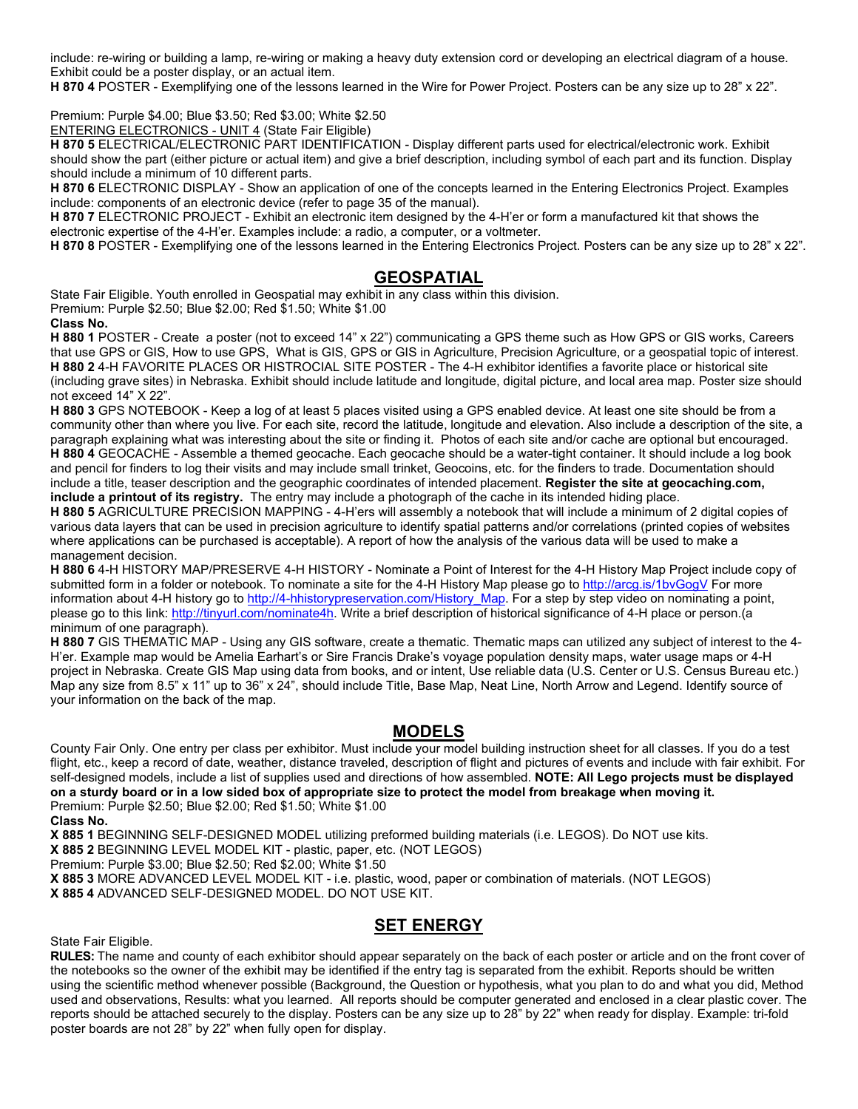include: re-wiring or building a lamp, re-wiring or making a heavy duty extension cord or developing an electrical diagram of a house. Exhibit could be a poster display, or an actual item.

**H 870 4** POSTER - Exemplifying one of the lessons learned in the Wire for Power Project. Posters can be any size up to 28" x 22".

Premium: Purple \$4.00; Blue \$3.50; Red \$3.00; White \$2.50

ENTERING ELECTRONICS - UNIT 4 (State Fair Eligible)

**H 870 5** ELECTRICAL/ELECTRONIC PART IDENTIFICATION - Display different parts used for electrical/electronic work. Exhibit should show the part (either picture or actual item) and give a brief description, including symbol of each part and its function. Display should include a minimum of 10 different parts.

**H 870 6** ELECTRONIC DISPLAY - Show an application of one of the concepts learned in the Entering Electronics Project. Examples include: components of an electronic device (refer to page 35 of the manual).

**H 870 7** ELECTRONIC PROJECT - Exhibit an electronic item designed by the 4-H'er or form a manufactured kit that shows the electronic expertise of the 4-H'er. Examples include: a radio, a computer, or a voltmeter.

**H 870 8** POSTER - Exemplifying one of the lessons learned in the Entering Electronics Project. Posters can be any size up to 28" x 22".

### **GEOSPATIAL**

State Fair Eligible. Youth enrolled in Geospatial may exhibit in any class within this division. Premium: Purple \$2.50; Blue \$2.00; Red \$1.50; White \$1.00

**Class No.**

**H 880 1** POSTER - Create a poster (not to exceed 14" x 22") communicating a GPS theme such as How GPS or GIS works, Careers that use GPS or GIS, How to use GPS, What is GIS, GPS or GIS in Agriculture, Precision Agriculture, or a geospatial topic of interest. **H 880 2** 4-H FAVORITE PLACES OR HISTROCIAL SITE POSTER - The 4-H exhibitor identifies a favorite place or historical site (including grave sites) in Nebraska. Exhibit should include latitude and longitude, digital picture, and local area map. Poster size should not exceed 14" X 22".

**H 880 3** GPS NOTEBOOK - Keep a log of at least 5 places visited using a GPS enabled device. At least one site should be from a community other than where you live. For each site, record the latitude, longitude and elevation. Also include a description of the site, a paragraph explaining what was interesting about the site or finding it. Photos of each site and/or cache are optional but encouraged. **H 880 4** GEOCACHE - Assemble a themed geocache. Each geocache should be a water-tight container. It should include a log book and pencil for finders to log their visits and may include small trinket, Geocoins, etc. for the finders to trade. Documentation should include a title, teaser description and the geographic coordinates of intended placement. **Register the site at geocaching.com, include a printout of its registry.** The entry may include a photograph of the cache in its intended hiding place.

**H 880 5** AGRICULTURE PRECISION MAPPING - 4-H'ers will assembly a notebook that will include a minimum of 2 digital copies of various data layers that can be used in precision agriculture to identify spatial patterns and/or correlations (printed copies of websites where applications can be purchased is acceptable). A report of how the analysis of the various data will be used to make a management decision.

**H 880 6** 4-H HISTORY MAP/PRESERVE 4-H HISTORY - Nominate a Point of Interest for the 4-H History Map Project include copy of submitted form in a folder or notebook. To nominate a site for the 4-H History Map please go to<http://arcg.is/1bvGogV> For more information about 4-H history go to http://4-hhistorypreservation.com/History Map. For a step by step video on nominating a point, please go to this link[: http://tinyurl.com/nominate4h.](http://tinyurl.com/nominate4h) Write a brief description of historical significance of 4-H place or person.(a minimum of one paragraph).

**H 880 7** GIS THEMATIC MAP - Using any GIS software, create a thematic. Thematic maps can utilized any subject of interest to the 4- H'er. Example map would be Amelia Earhart's or Sire Francis Drake's voyage population density maps, water usage maps or 4-H project in Nebraska. Create GIS Map using data from books, and or intent, Use reliable data (U.S. Center or U.S. Census Bureau etc.) Map any size from 8.5" x 11" up to 36" x 24", should include Title, Base Map, Neat Line, North Arrow and Legend. Identify source of your information on the back of the map.

### **MODELS**

County Fair Only. One entry per class per exhibitor. Must include your model building instruction sheet for all classes. If you do a test flight, etc., keep a record of date, weather, distance traveled, description of flight and pictures of events and include with fair exhibit. For self-designed models, include a list of supplies used and directions of how assembled. **NOTE: All Lego projects must be displayed on a sturdy board or in a low sided box of appropriate size to protect the model from breakage when moving it.**

Premium: Purple \$2.50; Blue \$2.00; Red \$1.50; White \$1.00

**Class No.**

**X 885 1** BEGINNING SELF-DESIGNED MODEL utilizing preformed building materials (i.e. LEGOS). Do NOT use kits.

**X 885 2** BEGINNING LEVEL MODEL KIT - plastic, paper, etc. (NOT LEGOS)

Premium: Purple \$3.00; Blue \$2.50; Red \$2.00; White \$1.50

**X 885 3** MORE ADVANCED LEVEL MODEL KIT - i.e. plastic, wood, paper or combination of materials. (NOT LEGOS) **X 885 4** ADVANCED SELF-DESIGNED MODEL. DO NOT USE KIT.

### **SET ENERGY**

State Fair Eligible.

**RULES:** The name and county of each exhibitor should appear separately on the back of each poster or article and on the front cover of the notebooks so the owner of the exhibit may be identified if the entry tag is separated from the exhibit. Reports should be written using the scientific method whenever possible (Background, the Question or hypothesis, what you plan to do and what you did, Method used and observations, Results: what you learned. All reports should be computer generated and enclosed in a clear plastic cover. The reports should be attached securely to the display. Posters can be any size up to 28" by 22" when ready for display. Example: tri-fold poster boards are not 28" by 22" when fully open for display.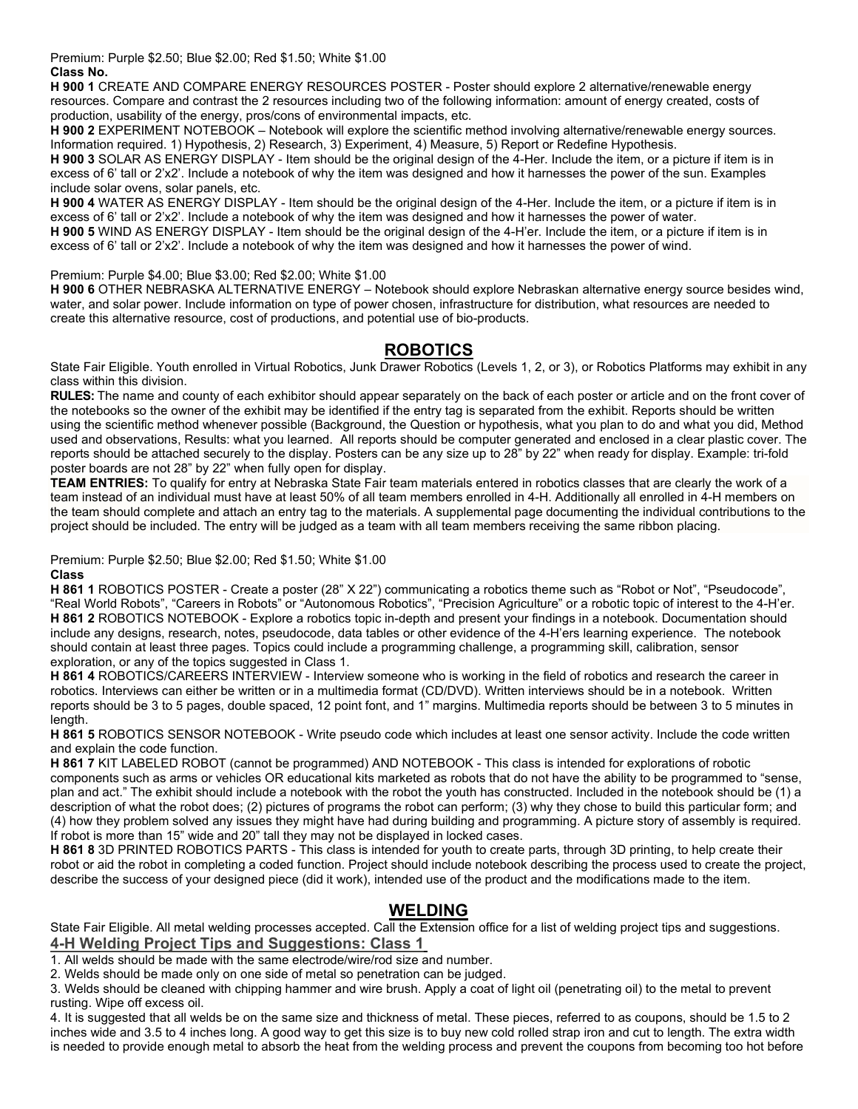Premium: Purple \$2.50; Blue \$2.00; Red \$1.50; White \$1.00 **Class No.**

**H 900 1** CREATE AND COMPARE ENERGY RESOURCES POSTER - Poster should explore 2 alternative/renewable energy resources. Compare and contrast the 2 resources including two of the following information: amount of energy created, costs of production, usability of the energy, pros/cons of environmental impacts, etc.

**H 900 2** EXPERIMENT NOTEBOOK – Notebook will explore the scientific method involving alternative/renewable energy sources. Information required. 1) Hypothesis, 2) Research, 3) Experiment, 4) Measure, 5) Report or Redefine Hypothesis.

**H 900 3** SOLAR AS ENERGY DISPLAY - Item should be the original design of the 4-Her. Include the item, or a picture if item is in excess of 6' tall or 2'x2'. Include a notebook of why the item was designed and how it harnesses the power of the sun. Examples include solar ovens, solar panels, etc.

**H 900 4** WATER AS ENERGY DISPLAY - Item should be the original design of the 4-Her. Include the item, or a picture if item is in excess of 6' tall or 2'x2'. Include a notebook of why the item was designed and how it harnesses the power of water.

**H 900 5** WIND AS ENERGY DISPLAY - Item should be the original design of the 4-H'er. Include the item, or a picture if item is in excess of 6' tall or 2'x2'. Include a notebook of why the item was designed and how it harnesses the power of wind.

#### Premium: Purple \$4.00; Blue \$3.00; Red \$2.00; White \$1.00

**H 900 6** OTHER NEBRASKA ALTERNATIVE ENERGY – Notebook should explore Nebraskan alternative energy source besides wind, water, and solar power. Include information on type of power chosen, infrastructure for distribution, what resources are needed to create this alternative resource, cost of productions, and potential use of bio-products.

### **ROBOTICS**

State Fair Eligible. Youth enrolled in Virtual Robotics, Junk Drawer Robotics (Levels 1, 2, or 3), or Robotics Platforms may exhibit in any class within this division.

**RULES:** The name and county of each exhibitor should appear separately on the back of each poster or article and on the front cover of the notebooks so the owner of the exhibit may be identified if the entry tag is separated from the exhibit. Reports should be written using the scientific method whenever possible (Background, the Question or hypothesis, what you plan to do and what you did, Method used and observations, Results: what you learned. All reports should be computer generated and enclosed in a clear plastic cover. The reports should be attached securely to the display. Posters can be any size up to 28" by 22" when ready for display. Example: tri-fold poster boards are not 28" by 22" when fully open for display.

**TEAM ENTRIES:** To qualify for entry at Nebraska State Fair team materials entered in robotics classes that are clearly the work of a team instead of an individual must have at least 50% of all team members enrolled in 4-H. Additionally all enrolled in 4-H members on the team should complete and attach an entry tag to the materials. A supplemental page documenting the individual contributions to the project should be included. The entry will be judged as a team with all team members receiving the same ribbon placing.

Premium: Purple \$2.50; Blue \$2.00; Red \$1.50; White \$1.00

#### **Class**

**H 861 1** ROBOTICS POSTER - Create a poster (28" X 22") communicating a robotics theme such as "Robot or Not", "Pseudocode", "Real World Robots", "Careers in Robots" or "Autonomous Robotics", "Precision Agriculture" or a robotic topic of interest to the 4-H'er. **H 861 2** ROBOTICS NOTEBOOK - Explore a robotics topic in-depth and present your findings in a notebook. Documentation should include any designs, research, notes, pseudocode, data tables or other evidence of the 4-H'ers learning experience. The notebook should contain at least three pages. Topics could include a programming challenge, a programming skill, calibration, sensor exploration, or any of the topics suggested in Class 1.

**H 861 4** ROBOTICS/CAREERS INTERVIEW - Interview someone who is working in the field of robotics and research the career in robotics. Interviews can either be written or in a multimedia format (CD/DVD). Written interviews should be in a notebook. Written reports should be 3 to 5 pages, double spaced, 12 point font, and 1" margins. Multimedia reports should be between 3 to 5 minutes in length.

**H 861 5** ROBOTICS SENSOR NOTEBOOK - Write pseudo code which includes at least one sensor activity. Include the code written and explain the code function.

**H 861 7** KIT LABELED ROBOT (cannot be programmed) AND NOTEBOOK - This class is intended for explorations of robotic components such as arms or vehicles OR educational kits marketed as robots that do not have the ability to be programmed to "sense, plan and act." The exhibit should include a notebook with the robot the youth has constructed. Included in the notebook should be (1) a description of what the robot does; (2) pictures of programs the robot can perform; (3) why they chose to build this particular form; and (4) how they problem solved any issues they might have had during building and programming. A picture story of assembly is required. If robot is more than 15" wide and 20" tall they may not be displayed in locked cases.

**H 861 8** 3D PRINTED ROBOTICS PARTS - This class is intended for youth to create parts, through 3D printing, to help create their robot or aid the robot in completing a coded function. Project should include notebook describing the process used to create the project, describe the success of your designed piece (did it work), intended use of the product and the modifications made to the item.

# **WELDING**

State Fair Eligible. All metal welding processes accepted. Call the Extension office for a list of welding project tips and suggestions. **4-H Welding Project Tips and Suggestions: Class 1**

1. All welds should be made with the same electrode/wire/rod size and number.

2. Welds should be made only on one side of metal so penetration can be judged.

3. Welds should be cleaned with chipping hammer and wire brush. Apply a coat of light oil (penetrating oil) to the metal to prevent rusting. Wipe off excess oil.

4. It is suggested that all welds be on the same size and thickness of metal. These pieces, referred to as coupons, should be 1.5 to 2 inches wide and 3.5 to 4 inches long. A good way to get this size is to buy new cold rolled strap iron and cut to length. The extra width is needed to provide enough metal to absorb the heat from the welding process and prevent the coupons from becoming too hot before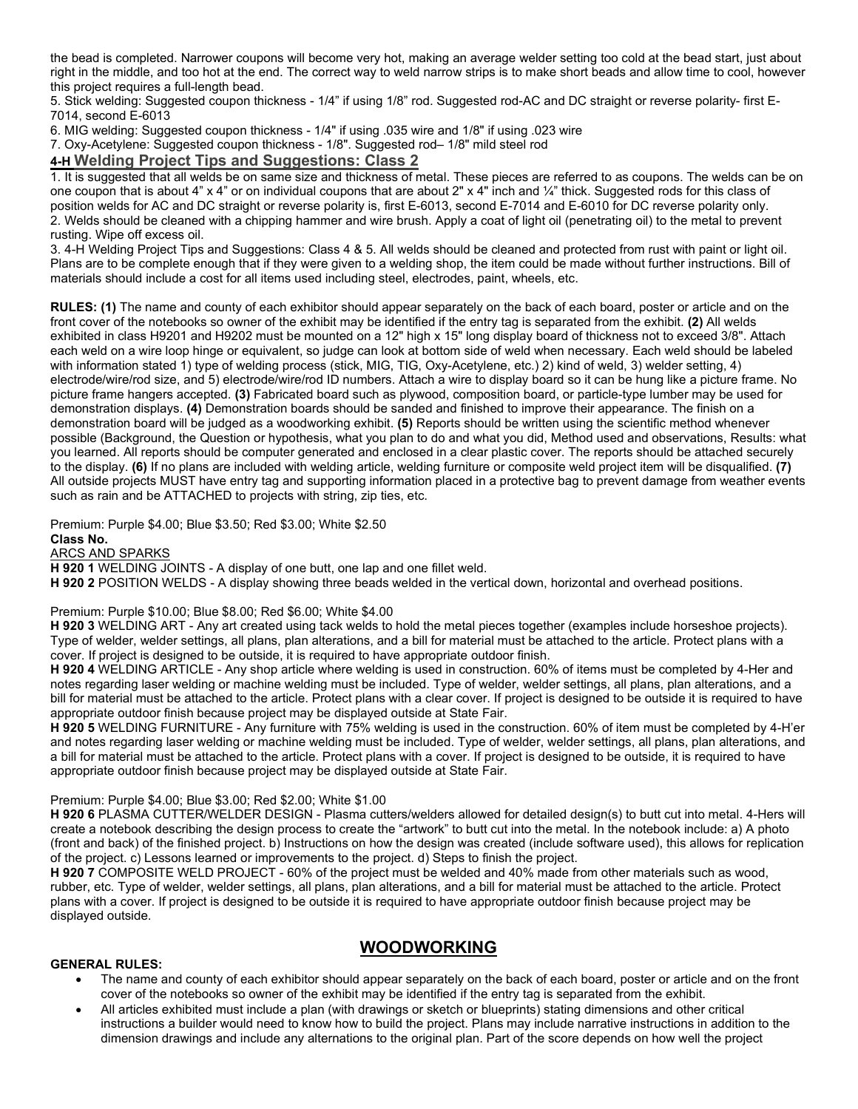the bead is completed. Narrower coupons will become very hot, making an average welder setting too cold at the bead start, just about right in the middle, and too hot at the end. The correct way to weld narrow strips is to make short beads and allow time to cool, however this project requires a full-length bead.

5. Stick welding: Suggested coupon thickness - 1/4" if using 1/8" rod. Suggested rod-AC and DC straight or reverse polarity- first E-7014, second E-6013

6. MIG welding: Suggested coupon thickness - 1/4" if using .035 wire and 1/8" if using .023 wire

7. Oxy-Acetylene: Suggested coupon thickness - 1/8". Suggested rod– 1/8" mild steel rod

### **4-H Welding Project Tips and Suggestions: Class 2**

1. It is suggested that all welds be on same size and thickness of metal. These pieces are referred to as coupons. The welds can be on one coupon that is about 4" x 4" or on individual coupons that are about 2" x 4" inch and ¼" thick. Suggested rods for this class of position welds for AC and DC straight or reverse polarity is, first E-6013, second E-7014 and E-6010 for DC reverse polarity only. 2. Welds should be cleaned with a chipping hammer and wire brush. Apply a coat of light oil (penetrating oil) to the metal to prevent rusting. Wipe off excess oil.

3. 4-H Welding Project Tips and Suggestions: Class 4 & 5. All welds should be cleaned and protected from rust with paint or light oil. Plans are to be complete enough that if they were given to a welding shop, the item could be made without further instructions. Bill of materials should include a cost for all items used including steel, electrodes, paint, wheels, etc.

**RULES: (1)** The name and county of each exhibitor should appear separately on the back of each board, poster or article and on the front cover of the notebooks so owner of the exhibit may be identified if the entry tag is separated from the exhibit. **(2)** All welds exhibited in class H9201 and H9202 must be mounted on a 12" high x 15" long display board of thickness not to exceed 3/8". Attach each weld on a wire loop hinge or equivalent, so judge can look at bottom side of weld when necessary. Each weld should be labeled with information stated 1) type of welding process (stick, MIG, TIG, Oxy-Acetylene, etc.) 2) kind of weld, 3) welder setting, 4) electrode/wire/rod size, and 5) electrode/wire/rod ID numbers. Attach a wire to display board so it can be hung like a picture frame. No picture frame hangers accepted. **(3)** Fabricated board such as plywood, composition board, or particle-type lumber may be used for demonstration displays. **(4)** Demonstration boards should be sanded and finished to improve their appearance. The finish on a demonstration board will be judged as a woodworking exhibit. **(5)** Reports should be written using the scientific method whenever possible (Background, the Question or hypothesis, what you plan to do and what you did, Method used and observations, Results: what you learned. All reports should be computer generated and enclosed in a clear plastic cover. The reports should be attached securely to the display. **(6)** If no plans are included with welding article, welding furniture or composite weld project item will be disqualified. **(7)**  All outside projects MUST have entry tag and supporting information placed in a protective bag to prevent damage from weather events such as rain and be ATTACHED to projects with string, zip ties, etc.

Premium: Purple \$4.00; Blue \$3.50; Red \$3.00; White \$2.50 **Class No. ARCS AND SPARKS** 

**H 920 1** WELDING JOINTS - A display of one butt, one lap and one fillet weld.

**H 920 2** POSITION WELDS - A display showing three beads welded in the vertical down, horizontal and overhead positions.

Premium: Purple \$10.00; Blue \$8.00; Red \$6.00; White \$4.00

**H 920 3** WELDING ART - Any art created using tack welds to hold the metal pieces together (examples include horseshoe projects). Type of welder, welder settings, all plans, plan alterations, and a bill for material must be attached to the article. Protect plans with a cover. If project is designed to be outside, it is required to have appropriate outdoor finish.

**H 920 4** WELDING ARTICLE - Any shop article where welding is used in construction. 60% of items must be completed by 4-Her and notes regarding laser welding or machine welding must be included. Type of welder, welder settings, all plans, plan alterations, and a bill for material must be attached to the article. Protect plans with a clear cover. If project is designed to be outside it is required to have appropriate outdoor finish because project may be displayed outside at State Fair.

**H 920 5** WELDING FURNITURE - Any furniture with 75% welding is used in the construction. 60% of item must be completed by 4-H'er and notes regarding laser welding or machine welding must be included. Type of welder, welder settings, all plans, plan alterations, and a bill for material must be attached to the article. Protect plans with a cover. If project is designed to be outside, it is required to have appropriate outdoor finish because project may be displayed outside at State Fair.

#### Premium: Purple \$4.00; Blue \$3.00; Red \$2.00; White \$1.00

**H 920 6** PLASMA CUTTER/WELDER DESIGN - Plasma cutters/welders allowed for detailed design(s) to butt cut into metal. 4-Hers will create a notebook describing the design process to create the "artwork" to butt cut into the metal. In the notebook include: a) A photo (front and back) of the finished project. b) Instructions on how the design was created (include software used), this allows for replication of the project. c) Lessons learned or improvements to the project. d) Steps to finish the project.

**H 920 7** COMPOSITE WELD PROJECT - 60% of the project must be welded and 40% made from other materials such as wood, rubber, etc. Type of welder, welder settings, all plans, plan alterations, and a bill for material must be attached to the article. Protect plans with a cover. If project is designed to be outside it is required to have appropriate outdoor finish because project may be displayed outside.

### **WOODWORKING**

#### **GENERAL RULES:**

- The name and county of each exhibitor should appear separately on the back of each board, poster or article and on the front cover of the notebooks so owner of the exhibit may be identified if the entry tag is separated from the exhibit.
- All articles exhibited must include a plan (with drawings or sketch or blueprints) stating dimensions and other critical instructions a builder would need to know how to build the project. Plans may include narrative instructions in addition to the dimension drawings and include any alternations to the original plan. Part of the score depends on how well the project